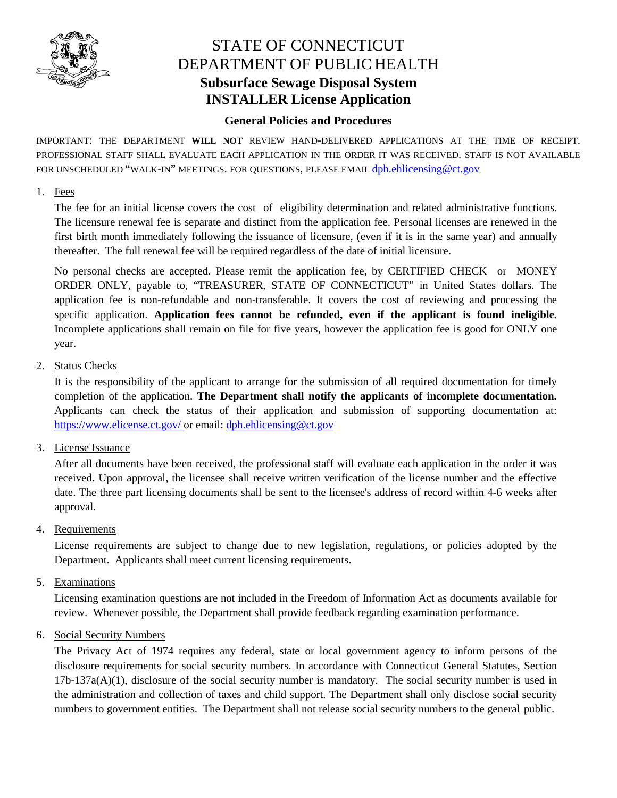

# STATE OF CONNECTICUT DEPARTMENT OF PUBLIC HEALTH **Subsurface Sewage Disposal System INSTALLER License Application**

# **General Policies and Procedures**

IMPORTANT: THE DEPARTMENT **WILL NOT** REVIEW HAND-DELIVERED APPLICATIONS AT THE TIME OF RECEIPT. PROFESSIONAL STAFF SHALL EVALUATE EACH APPLICATION IN THE ORDER IT WAS RECEIVED. STAFF IS NOT AVAILABLE FOR UNSCHEDULED "WALK-IN" MEETINGS. FOR QUESTIONS, PLEASE EMAIL dph.ehlicensing@ct.gov

#### 1. Fees

The fee for an initial license covers the cost of eligibility determination and related administrative functions. The licensure renewal fee is separate and distinct from the application fee. Personal licenses are renewed in the first birth month immediately following the issuance of licensure, (even if it is in the same year) and annually thereafter. The full renewal fee will be required regardless of the date of initial licensure.

No personal checks are accepted. Please remit the application fee, by CERTIFIED CHECK or MONEY ORDER ONLY, payable to, "TREASURER, STATE OF CONNECTICUT" in United States dollars. The application fee is non-refundable and non-transferable. It covers the cost of reviewing and processing the specific application. **Application fees cannot be refunded, even if the applicant is found ineligible.** Incomplete applications shall remain on file for five years, however the application fee is good for ONLY one year.

## 2. Status Checks

It is the responsibility of the applicant to arrange for the submission of all required documentation for timely completion of the application. **The Department shall notify the applicants of incomplete documentation.** Applicants can check the status of their application and submission of supporting documentation at: https://www.elicense.ct.gov/ or email: dph.ehlicensing@ct.gov

#### 3. License Issuance

After all documents have been received, the professional staff will evaluate each application in the order it was received. Upon approval, the licensee shall receive written verification of the license number and the effective date. The three part licensing documents shall be sent to the licensee's address of record within 4-6 weeks after approval.

#### 4. Requirements

License requirements are subject to change due to new legislation, regulations, or policies adopted by the Department. Applicants shall meet current licensing requirements.

#### 5. Examinations

Licensing examination questions are not included in the Freedom of Information Act as documents available for review. Whenever possible, the Department shall provide feedback regarding examination performance.

## 6. Social Security Numbers

The Privacy Act of 1974 requires any federal, state or local government agency to inform persons of the disclosure requirements for social security numbers. In accordance with Connecticut General Statutes, Section  $17b-137a(A)(1)$ , disclosure of the social security number is mandatory. The social security number is used in the administration and collection of taxes and child support. The Department shall only disclose social security numbers to government entities. The Department shall not release social security numbers to the general public.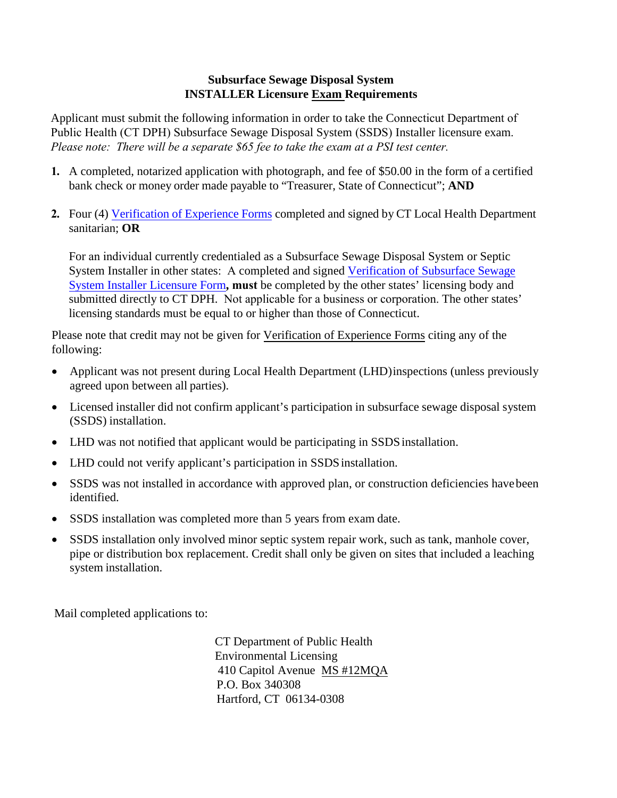## **Subsurface Sewage Disposal System INSTALLER Licensure Exam Requirements**

Applicant must submit the following information in order to take the Connecticut Department of Public Health (CT DPH) Subsurface Sewage Disposal System (SSDS) Installer licensure exam. *Please note: There will be a separate \$65 fee to take the exam at a PSI test center.* 

- **1.** A completed, notarized application with photograph, and fee of \$50.00 in the form of a certified bank check or money order made payable to "Treasurer, State of Connecticut"; **AND**
- **2.** Four (4) Verification of Experience Forms completed and signed by CT Local Health Department sanitarian; **OR**

For an individual currently credentialed as a Subsurface Sewage Disposal System or Septic System Installer in other states: A completed and signed Verification of Subsurface Sewage System Installer Licensure Form**, must** be completed by the other states' licensing body and submitted directly to CT DPH. Not applicable for a business or corporation. The other states' licensing standards must be equal to or higher than those of Connecticut.

Please note that credit may not be given for Verification of Experience Forms citing any of the following:

- Applicant was not present during Local Health Department (LHD) inspections (unless previously agreed upon between all parties).
- Licensed installer did not confirm applicant's participation in subsurface sewage disposal system (SSDS) installation.
- LHD was not notified that applicant would be participating in SSDS installation.
- LHD could not verify applicant's participation in SSDS installation.
- SSDS was not installed in accordance with approved plan, or construction deficiencies have been identified.
- SSDS installation was completed more than 5 years from exam date.
- SSDS installation only involved minor septic system repair work, such as tank, manhole cover, pipe or distribution box replacement. Credit shall only be given on sites that included a leaching system installation.

Mail completed applications to:

CT Department of Public Health Environmental Licensing 410 Capitol Avenue MS #12MQA P.O. Box 340308 Hartford, CT 06134-0308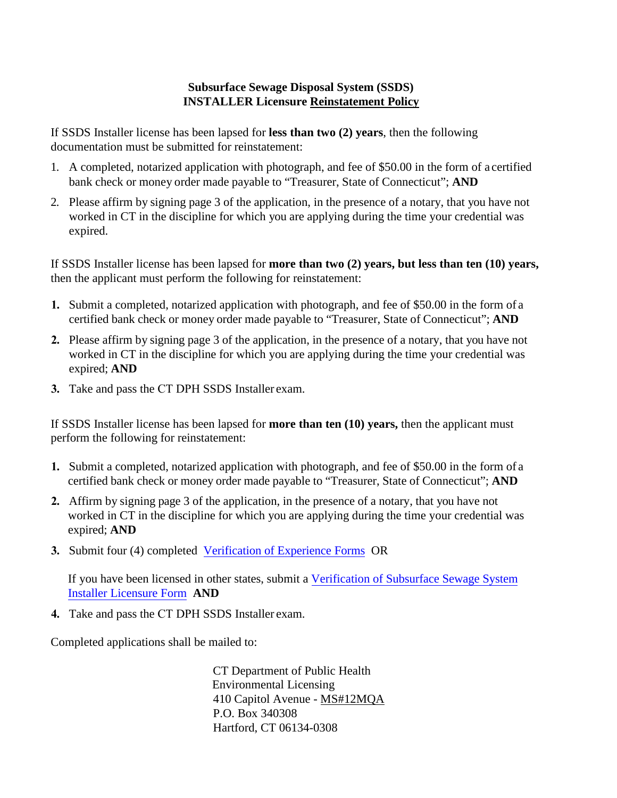## **Subsurface Sewage Disposal System (SSDS) INSTALLER Licensure Reinstatement Policy**

If SSDS Installer license has been lapsed for **less than two (2) years**, then the following documentation must be submitted for reinstatement:

- 1. A completed, notarized application with photograph, and fee of \$50.00 in the form of a certified bank check or money order made payable to "Treasurer, State of Connecticut"; **AND**
- 2. Please affirm by signing page 3 of the application, in the presence of a notary, that you have not worked in CT in the discipline for which you are applying during the time your credential was expired.

If SSDS Installer license has been lapsed for **more than two (2) years, but less than ten (10) years,**  then the applicant must perform the following for reinstatement:

- **1.** Submit a completed, notarized application with photograph, and fee of \$50.00 in the form of a certified bank check or money order made payable to "Treasurer, State of Connecticut"; **AND**
- **2.** Please affirm by signing page 3 of the application, in the presence of a notary, that you have not worked in CT in the discipline for which you are applying during the time your credential was expired; **AND**
- **3.** Take and pass the CT DPH SSDS Installer exam.

If SSDS Installer license has been lapsed for **more than ten (10) years,** then the applicant must perform the following for reinstatement:

- **1.** Submit a completed, notarized application with photograph, and fee of \$50.00 in the form of a certified bank check or money order made payable to "Treasurer, State of Connecticut"; **AND**
- **2.** Affirm by signing page 3 of the application, in the presence of a notary, that you have not worked in CT in the discipline for which you are applying during the time your credential was expired; **AND**
- **3.** Submit four (4) completed Verification of Experience Forms OR

If you have been licensed in other states, submit a Verification of Subsurface Sewage System Installer Licensure Form **AND**

**4.** Take and pass the CT DPH SSDS Installer exam.

Completed applications shall be mailed to:

CT Department of Public Health Environmental Licensing 410 Capitol Avenue - MS#12MQA P.O. Box 340308 Hartford, CT 06134-0308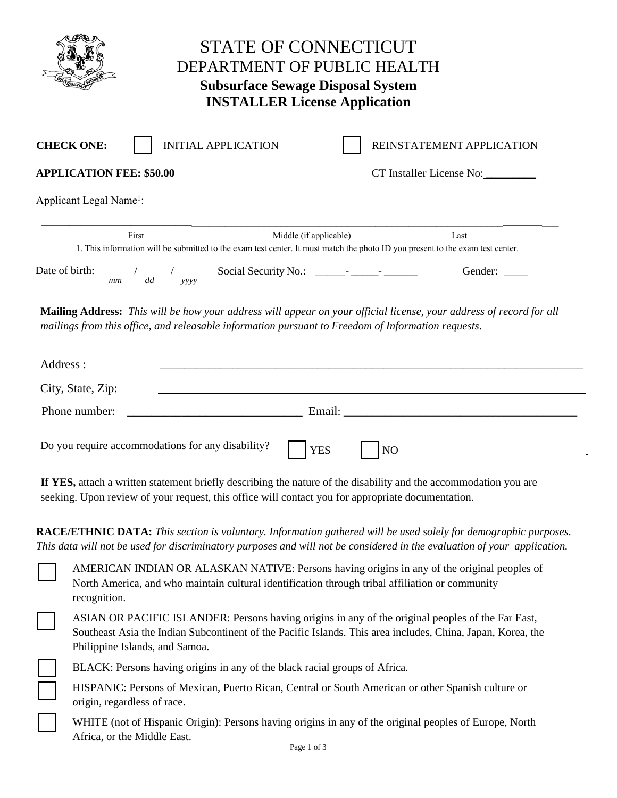| STATE OF CONNECTICUT<br>DEPARTMENT OF PUBLIC HEALTH<br><b>Subsurface Sewage Disposal System</b><br><b>INSTALLER License Application</b> |                                                                                                                                                                                                                                                    |  |  |  |  |  |
|-----------------------------------------------------------------------------------------------------------------------------------------|----------------------------------------------------------------------------------------------------------------------------------------------------------------------------------------------------------------------------------------------------|--|--|--|--|--|
|                                                                                                                                         | <b>INITIAL APPLICATION</b><br><b>CHECK ONE:</b><br>REINSTATEMENT APPLICATION                                                                                                                                                                       |  |  |  |  |  |
|                                                                                                                                         | <b>APPLICATION FEE: \$50.00</b><br>CT Installer License No:                                                                                                                                                                                        |  |  |  |  |  |
|                                                                                                                                         | Applicant Legal Name <sup>1</sup> :                                                                                                                                                                                                                |  |  |  |  |  |
|                                                                                                                                         | First<br>Middle (if applicable)<br>Last<br>1. This information will be submitted to the exam test center. It must match the photo ID you present to the exam test center.                                                                          |  |  |  |  |  |
| Date of birth:                                                                                                                          | Gender:                                                                                                                                                                                                                                            |  |  |  |  |  |
| Address:                                                                                                                                | Mailing Address: This will be how your address will appear on your official license, your address of record for all<br>mailings from this office, and releasable information pursuant to Freedom of Information requests.                          |  |  |  |  |  |
|                                                                                                                                         | City, State, Zip:<br><u> 1989 - Johann Stoff, deutscher Stoffen und der Stoffen und der Stoffen und der Stoffen und der Stoffen und de</u>                                                                                                         |  |  |  |  |  |
|                                                                                                                                         | Phone number:                                                                                                                                                                                                                                      |  |  |  |  |  |
|                                                                                                                                         | Do you require accommodations for any disability?<br><b>YES</b><br>N <sub>O</sub>                                                                                                                                                                  |  |  |  |  |  |
|                                                                                                                                         | If YES, attach a written statement briefly describing the nature of the disability and the accommodation you are<br>seeking. Upon review of your request, this office will contact you for appropriate documentation.                              |  |  |  |  |  |
|                                                                                                                                         | <b>RACE/ETHNIC DATA:</b> This section is voluntary. Information gathered will be used solely for demographic purposes.<br>This data will not be used for discriminatory purposes and will not be considered in the evaluation of your application. |  |  |  |  |  |
|                                                                                                                                         | AMERICAN INDIAN OR ALASKAN NATIVE: Persons having origins in any of the original peoples of<br>North America, and who maintain cultural identification through tribal affiliation or community<br>recognition.                                     |  |  |  |  |  |
|                                                                                                                                         | ASIAN OR PACIFIC ISLANDER: Persons having origins in any of the original peoples of the Far East,<br>Southeast Asia the Indian Subcontinent of the Pacific Islands. This area includes, China, Japan, Korea, the<br>Philippine Islands, and Samoa. |  |  |  |  |  |
|                                                                                                                                         | BLACK: Persons having origins in any of the black racial groups of Africa.                                                                                                                                                                         |  |  |  |  |  |
|                                                                                                                                         | HISPANIC: Persons of Mexican, Puerto Rican, Central or South American or other Spanish culture or<br>origin, regardless of race.                                                                                                                   |  |  |  |  |  |

WHITE (not of Hispanic Origin): Persons having origins in any of the original peoples of Europe, North Africa, or the Middle East.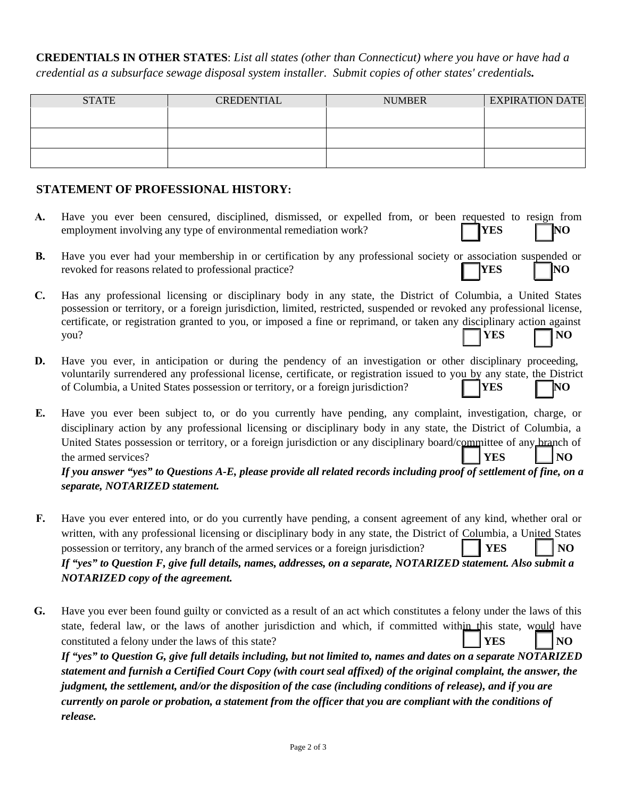**CREDENTIALS IN OTHER STATES**: *List all states (other than Connecticut) where you have or have had a credential as a subsurface sewage disposal system installer. Submit copies of other states' credentials.* 

| <b>STATE</b> | <b>CREDENTIAL</b> | <b>NUMBER</b> | <b>EXPIRATION DATE</b> |
|--------------|-------------------|---------------|------------------------|
|              |                   |               |                        |
|              |                   |               |                        |
|              |                   |               |                        |
|              |                   |               |                        |

## **STATEMENT OF PROFESSIONAL HISTORY:**

|    | Have you ever been censured, disciplined, dismissed, or expelled from, or been requested to resign from<br>$\Box$ NO<br>$\vert$ <b>YES</b><br>employment involving any type of environmental remediation work? |
|----|----------------------------------------------------------------------------------------------------------------------------------------------------------------------------------------------------------------|
| В. | Have you ever had your membership in or certification by any professional society or association suspended or<br>$\Box$ YES $\Box$ NO<br>revoked for reasons related to professional practice?                 |
|    | C. Has any professional licensing or disciplinary body in any state, the District of Columbia, a United States                                                                                                 |

- possession or territory, or a foreign jurisdiction, limited, restricted, suspended or revoked any professional license, certificate, or registration granted to you, or imposed a fine or reprimand, or taken any disciplinary action against you? *YES* MO
- **D.** Have you ever, in anticipation or during the pendency of an investigation or other disciplinary proceeding, voluntarily surrendered any professional license, certificate, or registration issued to you by any state, the District of Columbia, a United States possession or territory, or a foreign jurisdiction? **YES NO**
- **E.** Have you ever been subject to, or do you currently have pending, any complaint, investigation, charge, or disciplinary action by any professional licensing or disciplinary body in any state, the District of Columbia, a United States possession or territory, or a foreign jurisdiction or any disciplinary board/committee of any branch of the armed services? **YES NO**

*If you answer "yes" to Questions A-E, please provide all related records including proof of settlement of fine, on a separate, NOTARIZED statement.*

- **F.** Have you ever entered into, or do you currently have pending, a consent agreement of any kind, whether oral or written, with any professional licensing or disciplinary body in any state, the District of Columbia, a United States possession or territory, any branch of the armed services or a foreign jurisdiction? **I YES NO** *If "yes" to Question F, give full details, names, addresses, on a separate, NOTARIZED statement. Also submit a NOTARIZED copy of the agreement.*
- **G.** Have you ever been found guilty or convicted as a result of an act which constitutes a felony under the laws of this state, federal law, or the laws of another jurisdiction and which, if committed within this state, would have constituted a felony under the laws of this state? **WES NO** *If "yes" to Question G, give full details including, but not limited to, names and dates on a separate NOTARIZED statement and furnish a Certified Court Copy (with court seal affixed) of the original complaint, the answer, the judgment, the settlement, and/or the disposition of the case (including conditions of release), and if you are currently on parole or probation, a statement from the officer that you are compliant with the conditions of release.*